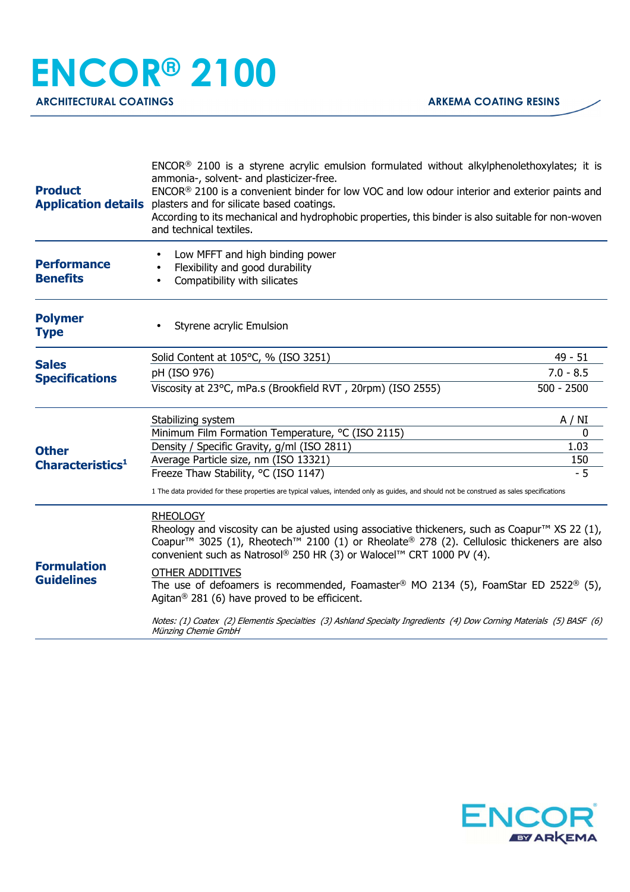## **ENCOR® 2100**

| <b>Product</b>                                                                                                                   | $ENCOR®$ 2100 is a styrene acrylic emulsion formulated without alkylphenolethoxylates; it is<br>ammonia-, solvent- and plasticizer-free.<br>ENCOR® 2100 is a convenient binder for low VOC and low odour interior and exterior paints and<br><b>Application details</b> plasters and for silicate based coatings.<br>According to its mechanical and hydrophobic properties, this binder is also suitable for non-woven<br>and technical textiles. |              |  |
|----------------------------------------------------------------------------------------------------------------------------------|----------------------------------------------------------------------------------------------------------------------------------------------------------------------------------------------------------------------------------------------------------------------------------------------------------------------------------------------------------------------------------------------------------------------------------------------------|--------------|--|
| <b>Performance</b><br><b>Benefits</b>                                                                                            | Low MFFT and high binding power<br>Flexibility and good durability<br>Compatibility with silicates                                                                                                                                                                                                                                                                                                                                                 |              |  |
| <b>Polymer</b><br><b>Type</b>                                                                                                    | Styrene acrylic Emulsion                                                                                                                                                                                                                                                                                                                                                                                                                           |              |  |
|                                                                                                                                  | Solid Content at 105°C, % (ISO 3251)                                                                                                                                                                                                                                                                                                                                                                                                               | $49 - 51$    |  |
| <b>Sales</b><br><b>Specifications</b><br><b>Other</b><br>Characteristics <sup>1</sup><br><b>Formulation</b><br><b>Guidelines</b> | pH (ISO 976)                                                                                                                                                                                                                                                                                                                                                                                                                                       | $7.0 - 8.5$  |  |
|                                                                                                                                  | Viscosity at 23°C, mPa.s (Brookfield RVT, 20rpm) (ISO 2555)                                                                                                                                                                                                                                                                                                                                                                                        | $500 - 2500$ |  |
|                                                                                                                                  | Stabilizing system                                                                                                                                                                                                                                                                                                                                                                                                                                 | A / NI       |  |
|                                                                                                                                  | Minimum Film Formation Temperature, °C (ISO 2115)                                                                                                                                                                                                                                                                                                                                                                                                  | 0            |  |
|                                                                                                                                  | Density / Specific Gravity, g/ml (ISO 2811)                                                                                                                                                                                                                                                                                                                                                                                                        | 1.03         |  |
|                                                                                                                                  | Average Particle size, nm (ISO 13321)                                                                                                                                                                                                                                                                                                                                                                                                              | 150          |  |
|                                                                                                                                  | Freeze Thaw Stability, °C (ISO 1147)                                                                                                                                                                                                                                                                                                                                                                                                               | $-5$         |  |
|                                                                                                                                  | 1 The data provided for these properties are typical values, intended only as guides, and should not be construed as sales specifications                                                                                                                                                                                                                                                                                                          |              |  |
|                                                                                                                                  | <b>RHEOLOGY</b><br>Rheology and viscosity can be ajusted using associative thickeners, such as Coapur <sup>TM</sup> XS 22 (1),<br>Coapur <sup>™</sup> 3025 (1), Rheotech <sup>™</sup> 2100 (1) or Rheolate® 278 (2). Cellulosic thickeners are also<br>convenient such as Natrosol® 250 HR (3) or Walocel™ CRT 1000 PV (4).                                                                                                                        |              |  |
|                                                                                                                                  | <b>OTHER ADDITIVES</b><br>The use of defoamers is recommended, Foamaster® MO 2134 (5), FoamStar ED 2522® (5),<br>Agitan <sup>®</sup> 281 (6) have proved to be efficicent.                                                                                                                                                                                                                                                                         |              |  |
|                                                                                                                                  | Notes: (1) Coatex (2) Elementis Specialties (3) Ashland Specialty Ingredients (4) Dow Corning Materials (5) BASF (6)<br>Münzing Chemie GmbH                                                                                                                                                                                                                                                                                                        |              |  |